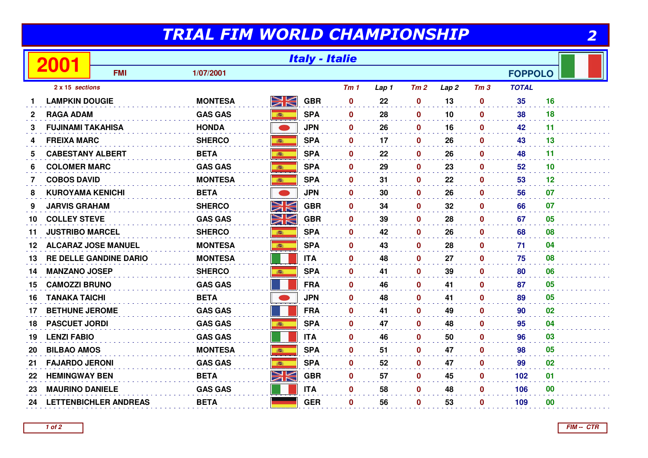## TRIAL FIM WORLD CHAMPIONSHIP

2

|                 |                            | <b>Italy - Italie</b>         |                |             |            |                 |       |                  |                  |                 |                |    |
|-----------------|----------------------------|-------------------------------|----------------|-------------|------------|-----------------|-------|------------------|------------------|-----------------|----------------|----|
|                 |                            | <b>FMI</b>                    | 1/07/2001      |             |            |                 |       |                  |                  |                 | <b>FOPPOLO</b> |    |
| 2 x 15 sections |                            |                               |                |             |            | Tm <sub>1</sub> | Lap 1 | Tm2              | Lap <sub>2</sub> | Tm <sub>3</sub> | <b>TOTAL</b>   |    |
|                 | <b>LAMPKIN DOUGIE</b>      |                               | <b>MONTESA</b> | <u>NK</u>   | <b>GBR</b> | $\mathbf 0$     | 22    | 0                | 13               | $\mathbf{0}$    | 35             | 16 |
| $\mathbf{2}$    | <b>RAGA ADAM</b>           |                               | <b>GAS GAS</b> |             | <b>SPA</b> | $\mathbf 0$     | 28    | $\mathbf 0$      | 10               | $\mathbf 0$     | 38             | 18 |
| 3               | <b>FUJINAMI TAKAHISA</b>   |                               | <b>HONDA</b>   | $\bullet$   | <b>JPN</b> | $\mathbf{0}$    | 26    | $\mathbf 0$      | 16               | $\mathbf 0$     | 42             | 11 |
| 4               | <b>FREIXA MARC</b>         |                               | <b>SHERCO</b>  | <b>BEE</b>  | <b>SPA</b> | $\mathbf 0$     | 17    | $\mathbf 0$      | 26               | $\mathbf 0$     | 43             | 13 |
| 5               | <b>CABESTANY ALBERT</b>    |                               | <b>BETA</b>    | 高           | <b>SPA</b> | $\mathbf 0$     | 22    | $\mathbf 0$      | 26               | $\mathbf 0$     | 48             | 11 |
| 6               | <b>COLOMER MARC</b>        |                               | <b>GAS GAS</b> | <b>BEE</b>  | <b>SPA</b> | $\mathbf{0}$    | 29    | $\mathbf{0}$     | 23               | $\mathbf{0}$    | 52             | 10 |
| 7               | <b>COBOS DAVID</b>         |                               | <b>MONTESA</b> | <b>BEE</b>  | <b>SPA</b> | $\mathbf 0$     | 31    | $\mathbf 0$      | 22               | $\mathbf 0$     | 53             | 12 |
| 8               | <b>KUROYAMA KENICHI</b>    |                               | <b>BETA</b>    |             | <b>JPN</b> | $\mathbf 0$     | 30    | $\mathbf 0$      | 26               | $\mathbf 0$     | 56             | 07 |
| 9               | <b>JARVIS GRAHAM</b>       |                               | <b>SHERCO</b>  | XK          | <b>GBR</b> | $\mathbf{0}$    | 34    | $\mathbf 0$      | 32               | $\mathbf 0$     | 66             | 07 |
| 10              | <b>COLLEY STEVE</b>        |                               | <b>GAS GAS</b> | NK<br>MK    | <b>GBR</b> | $\mathbf{0}$    | 39    | $\mathbf 0$      | 28               | $\mathbf{0}$    | 67             | 05 |
| 11              | <b>JUSTRIBO MARCEL</b>     |                               | <b>SHERCO</b>  | 高           | <b>SPA</b> | $\mathbf 0$     | 42    | $\mathbf 0$      | 26               | 0               | 68             | 08 |
| 12              | <b>ALCARAZ JOSE MANUEL</b> |                               | <b>MONTESA</b> | 瓣           | <b>SPA</b> | $\mathbf 0$     | 43    | $\boldsymbol{0}$ | 28               | $\mathbf 0$     | 71             | 04 |
| 13              |                            | <b>RE DELLE GANDINE DARIO</b> | <b>MONTESA</b> |             | <b>ITA</b> | $\bf{0}$        | 48    | $\mathbf{0}$     | 27               | $\mathbf 0$     | 75             | 08 |
| 14              | <b>MANZANO JOSEP</b>       |                               | <b>SHERCO</b>  | 高           | <b>SPA</b> | $\mathbf{0}$    | 41    | $\mathbf 0$      | 39               | $\mathbf{0}$    | 80             | 06 |
| 15              | <b>CAMOZZI BRUNO</b>       |                               | <b>GAS GAS</b> |             | <b>FRA</b> | $\mathbf 0$     | 46    | 0                | 41               | $\mathbf 0$     | 87             | 05 |
| 16              | <b>TANAKA TAICHI</b>       |                               | <b>BETA</b>    |             | <b>JPN</b> | $\mathbf 0$     | 48    | $\mathbf 0$      | 41               | $\mathbf 0$     | 89             | 05 |
| 17              | <b>BETHUNE JEROME</b>      |                               | <b>GAS GAS</b> |             | <b>FRA</b> | $\mathbf{0}$    | 41    | $\mathbf 0$      | 49               | $\mathbf{0}$    | 90             | 02 |
| 18              | <b>PASCUET JORDI</b>       |                               | <b>GAS GAS</b> | ■ 調理        | <b>SPA</b> | $\mathbf 0$     | 47    | $\mathbf 0$      | 48               | $\mathbf 0$     | 95             | 04 |
| 19              | <b>LENZI FABIO</b>         |                               | <b>GAS GAS</b> |             | <b>ITA</b> | $\mathbf{0}$    | 46    | $\mathbf{0}$     | 50               | $\mathbf{0}$    | 96             | 03 |
| 20              | <b>BILBAO AMOS</b>         |                               | <b>MONTESA</b> |             | <b>SPA</b> | $\mathbf 0$     | 51    | $\mathbf 0$      | 47               | $\mathbf 0$     | 98             | 05 |
| 21              | <b>FAJARDO JERONI</b>      |                               | <b>GAS GAS</b> | 森           | <b>SPA</b> | $\mathbf 0$     | 52    | $\mathbf 0$      | 47               | $\mathbf 0$     | 99             | 02 |
| 22              | <b>HEMINGWAY BEN</b>       |                               | <b>BETA</b>    | $\geqslant$ | <b>GBR</b> | $\bf{0}$        | 57    | $\mathbf 0$      | 45               | $\mathbf 0$     | 102            | 01 |
| 23              | <b>MAURINO DANIELE</b>     |                               | <b>GAS GAS</b> |             | <b>ITA</b> | $\mathbf{0}$    | 58    | $\mathbf{0}$     | 48               | $\mathbf{0}$    | 106            | 00 |
| 24              |                            | <b>LETTENBICHLER ANDREAS</b>  | <b>BETA</b>    |             | <b>GER</b> | 0               | 56    | 0                | 53               | $\mathbf 0$     | 109            | 00 |